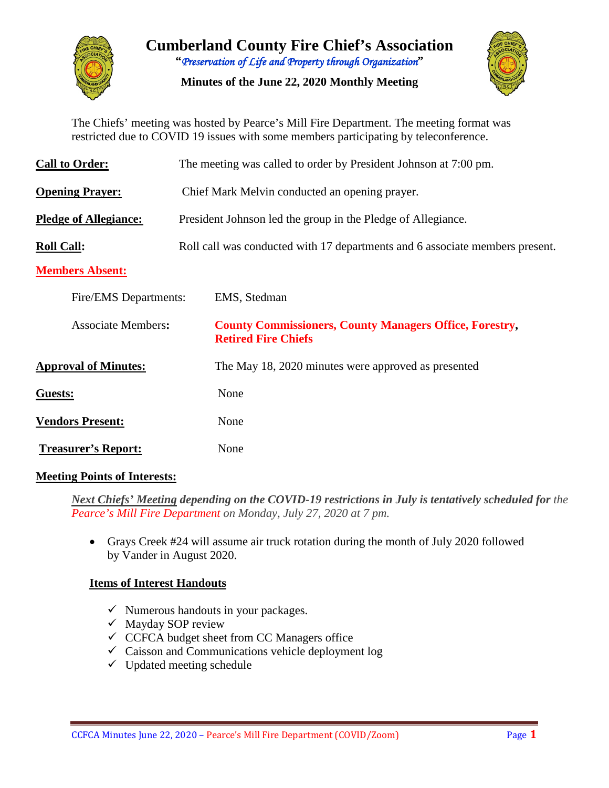

**Cumberland County Fire Chief's Association "***Preservation of Life and Property through Organization***"**

**Minutes of the June 22, 2020 Monthly Meeting**



The Chiefs' meeting was hosted by Pearce's Mill Fire Department. The meeting format was restricted due to COVID 19 issues with some members participating by teleconference.

| <b>Call to Order:</b>        | The meeting was called to order by President Johnson at 7:00 pm.             |                                                                                              |  |  |  |  |  |  |  |
|------------------------------|------------------------------------------------------------------------------|----------------------------------------------------------------------------------------------|--|--|--|--|--|--|--|
| <b>Opening Prayer:</b>       | Chief Mark Melvin conducted an opening prayer.                               |                                                                                              |  |  |  |  |  |  |  |
| <b>Pledge of Allegiance:</b> | President Johnson led the group in the Pledge of Allegiance.                 |                                                                                              |  |  |  |  |  |  |  |
| <b>Roll Call:</b>            | Roll call was conducted with 17 departments and 6 associate members present. |                                                                                              |  |  |  |  |  |  |  |
| <b>Members Absent:</b>       |                                                                              |                                                                                              |  |  |  |  |  |  |  |
| Fire/EMS Departments:        |                                                                              | EMS, Stedman                                                                                 |  |  |  |  |  |  |  |
| <b>Associate Members:</b>    |                                                                              | <b>County Commissioners, County Managers Office, Forestry,</b><br><b>Retired Fire Chiefs</b> |  |  |  |  |  |  |  |
| <b>Approval of Minutes:</b>  |                                                                              | The May 18, 2020 minutes were approved as presented                                          |  |  |  |  |  |  |  |
| Guests:                      |                                                                              | None                                                                                         |  |  |  |  |  |  |  |
| <b>Vendors Present:</b>      |                                                                              | None                                                                                         |  |  |  |  |  |  |  |
| <b>Treasurer's Report:</b>   |                                                                              | None                                                                                         |  |  |  |  |  |  |  |

#### **Meeting Points of Interests:**

*Next Chiefs' Meeting depending on the COVID-19 restrictions in July is tentatively scheduled for the Pearce's Mill Fire Department on Monday, July 27, 2020 at 7 pm.*

• Grays Creek #24 will assume air truck rotation during the month of July 2020 followed by Vander in August 2020.

#### **Items of Interest Handouts**

- $\checkmark$  Numerous handouts in your packages.
- $\checkmark$  Mayday SOP review
- $\checkmark$  CCFCA budget sheet from CC Managers office
- $\checkmark$  Caisson and Communications vehicle deployment log
- $\checkmark$  Updated meeting schedule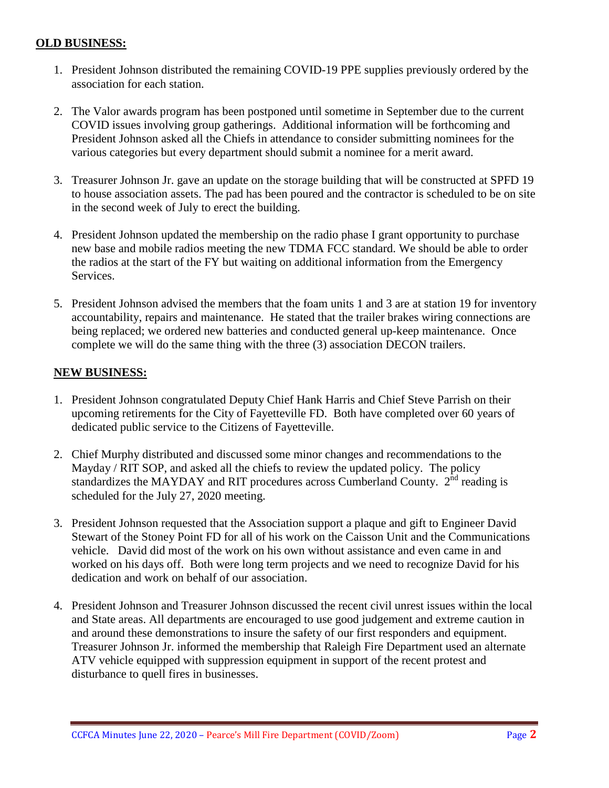#### **OLD BUSINESS:**

- 1. President Johnson distributed the remaining COVID-19 PPE supplies previously ordered by the association for each station.
- 2. The Valor awards program has been postponed until sometime in September due to the current COVID issues involving group gatherings. Additional information will be forthcoming and President Johnson asked all the Chiefs in attendance to consider submitting nominees for the various categories but every department should submit a nominee for a merit award.
- 3. Treasurer Johnson Jr. gave an update on the storage building that will be constructed at SPFD 19 to house association assets. The pad has been poured and the contractor is scheduled to be on site in the second week of July to erect the building.
- 4. President Johnson updated the membership on the radio phase I grant opportunity to purchase new base and mobile radios meeting the new TDMA FCC standard. We should be able to order the radios at the start of the FY but waiting on additional information from the Emergency Services.
- 5. President Johnson advised the members that the foam units 1 and 3 are at station 19 for inventory accountability, repairs and maintenance. He stated that the trailer brakes wiring connections are being replaced; we ordered new batteries and conducted general up-keep maintenance. Once complete we will do the same thing with the three (3) association DECON trailers.

#### **NEW BUSINESS:**

- 1. President Johnson congratulated Deputy Chief Hank Harris and Chief Steve Parrish on their upcoming retirements for the City of Fayetteville FD. Both have completed over 60 years of dedicated public service to the Citizens of Fayetteville.
- 2. Chief Murphy distributed and discussed some minor changes and recommendations to the Mayday / RIT SOP, and asked all the chiefs to review the updated policy. The policy standardizes the MAYDAY and RIT procedures across Cumberland County.  $2<sup>nd</sup>$  reading is scheduled for the July 27, 2020 meeting.
- 3. President Johnson requested that the Association support a plaque and gift to Engineer David Stewart of the Stoney Point FD for all of his work on the Caisson Unit and the Communications vehicle. David did most of the work on his own without assistance and even came in and worked on his days off. Both were long term projects and we need to recognize David for his dedication and work on behalf of our association.
- 4. President Johnson and Treasurer Johnson discussed the recent civil unrest issues within the local and State areas. All departments are encouraged to use good judgement and extreme caution in and around these demonstrations to insure the safety of our first responders and equipment. Treasurer Johnson Jr. informed the membership that Raleigh Fire Department used an alternate ATV vehicle equipped with suppression equipment in support of the recent protest and disturbance to quell fires in businesses.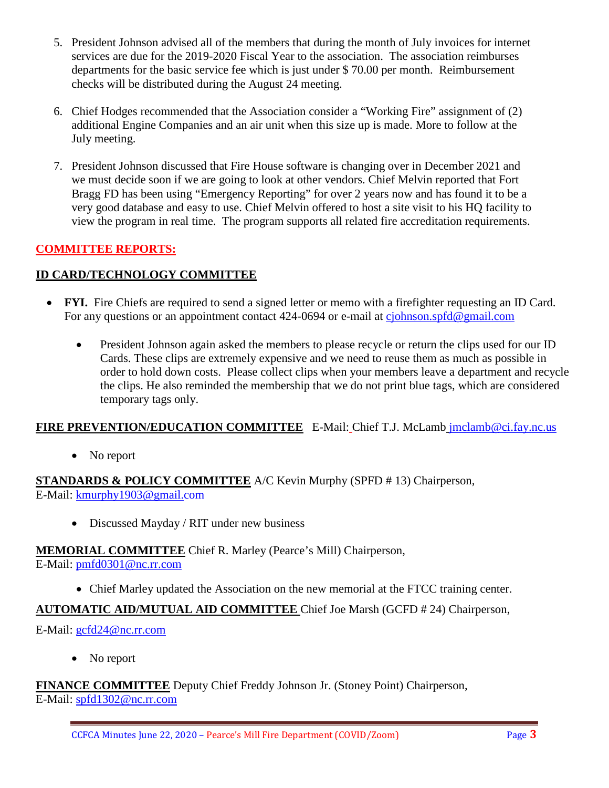- 5. President Johnson advised all of the members that during the month of July invoices for internet services are due for the 2019-2020 Fiscal Year to the association. The association reimburses departments for the basic service fee which is just under \$ 70.00 per month. Reimbursement checks will be distributed during the August 24 meeting.
- 6. Chief Hodges recommended that the Association consider a "Working Fire" assignment of (2) additional Engine Companies and an air unit when this size up is made. More to follow at the July meeting.
- 7. President Johnson discussed that Fire House software is changing over in December 2021 and we must decide soon if we are going to look at other vendors. Chief Melvin reported that Fort Bragg FD has been using "Emergency Reporting" for over 2 years now and has found it to be a very good database and easy to use. Chief Melvin offered to host a site visit to his HQ facility to view the program in real time. The program supports all related fire accreditation requirements.

# **COMMITTEE REPORTS:**

### **ID CARD/TECHNOLOGY COMMITTEE**

- **FYI.** Fire Chiefs are required to send a signed letter or memo with a firefighter requesting an ID Card. For any questions or an appointment contact 424-0694 or e-mail at [cjohnson.spfd@gmail.com](mailto:cjohnson.spfd@gmail.com)
	- President Johnson again asked the members to please recycle or return the clips used for our ID Cards. These clips are extremely expensive and we need to reuse them as much as possible in order to hold down costs. Please collect clips when your members leave a department and recycle the clips. He also reminded the membership that we do not print blue tags, which are considered temporary tags only.

#### **FIRE PREVENTION/EDUCATION COMMITTEE** E-Mail: Chief T.J. McLamb [jmclamb@ci.fay.nc.us](mailto:jmclamb@ci.fay.nc.us)

• No report

#### **STANDARDS & POLICY COMMITTEE** A/C Kevin Murphy (SPFD # 13) Chairperson, E-Mail: [kmurphy1903@gmail.com](mailto:kmurphy1903@gmail.com)

• Discussed Mayday / RIT under new business

# **MEMORIAL COMMITTEE** Chief R. Marley (Pearce's Mill) Chairperson,

E-Mail: [pmfd0301@nc.rr.com](mailto:pmfd0301@nc.rr.com)

• Chief Marley updated the Association on the new memorial at the FTCC training center.

#### **AUTOMATIC AID/MUTUAL AID COMMITTEE** Chief Joe Marsh (GCFD # 24) Chairperson,

#### E-Mail: [gcfd24@nc.rr.com](mailto:gcfd24@nc.rr.com)

• No report

# **FINANCE COMMITTEE** Deputy Chief Freddy Johnson Jr. (Stoney Point) Chairperson,

E-Mail: [spfd1302@nc.rr.com](mailto:spfd1302@nc.rr.com)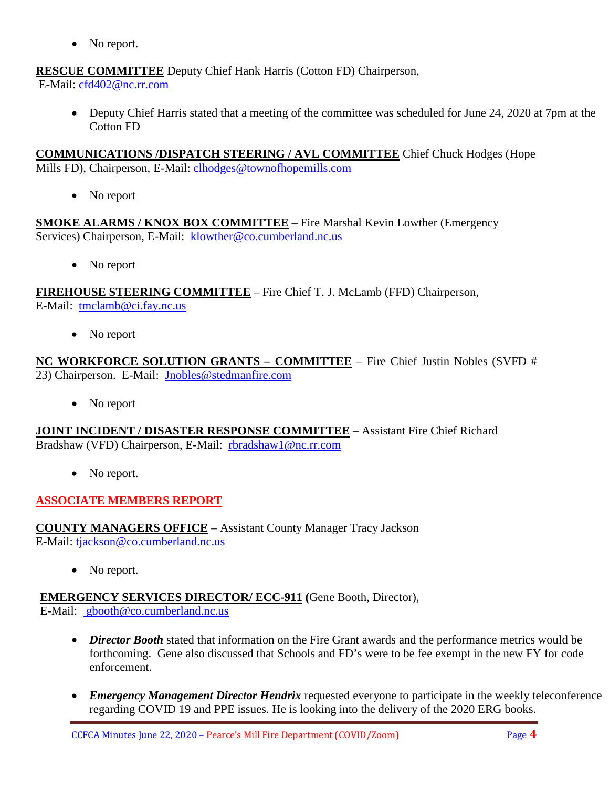• No report.

**RESCUE COMMITTEE** Deputy Chief Hank Harris (Cotton FD) Chairperson,

E-Mail: [cfd402@nc.rr.com](mailto:cfd402@nc.rr.com)

• Deputy Chief Harris stated that a meeting of the committee was scheduled for June 24, 2020 at 7pm at the Cotton FD

**COMMUNICATIONS /DISPATCH STEERING / AVL COMMITTEE** Chief Chuck Hodges (Hope Mills FD), Chairperson, E-Mail: clhodges@townofhopemills.com

• No report

**SMOKE ALARMS / KNOX BOX COMMITTEE** – Fire Marshal Kevin Lowther (Emergency Services) Chairperson, E-Mail: [klowther@co.cumberland.nc.us](mailto:klowther@co.cumberland.nc.us)

• No report

**FIREHOUSE STEERING COMMITTEE** – Fire Chief T. J. McLamb (FFD) Chairperson, E-Mail: [tmclamb@ci.fay.nc.us](mailto:tmclamb@ci.fay.nc.us)

• No report

**NC WORKFORCE SOLUTION GRANTS – COMMITTEE** – Fire Chief Justin Nobles (SVFD # 23) Chairperson. E-Mail: [Jnobles@stedmanfire.com](mailto:Jnobles@stedmanfire.com)

• No report

**JOINT INCIDENT / DISASTER RESPONSE COMMITTEE** – Assistant Fire Chief Richard Bradshaw (VFD) Chairperson, E-Mail: [rbradshaw1@nc.rr.com](mailto:rbradshaw1@nc.rr.com)

• No report.

# **ASSOCIATE MEMBERS REPORT**

**COUNTY MANAGERS OFFICE** – Assistant County Manager Tracy Jackson E-Mail: [tjackson@co.cumberland.nc.us](mailto:tjackson@co.cumberland.nc.us)

• No report.

**EMERGENCY SERVICES DIRECTOR/ ECC-911 (**Gene Booth, Director),

E-Mail: [gbooth@co.cumberland.nc.us](mailto:gbooth@co.cumberland.nc.us)

- *Director Booth* stated that information on the Fire Grant awards and the performance metrics would be forthcoming. Gene also discussed that Schools and FD's were to be fee exempt in the new FY for code enforcement.
- *Emergency Management Director Hendrix* requested everyone to participate in the weekly teleconference regarding COVID 19 and PPE issues. He is looking into the delivery of the 2020 ERG books.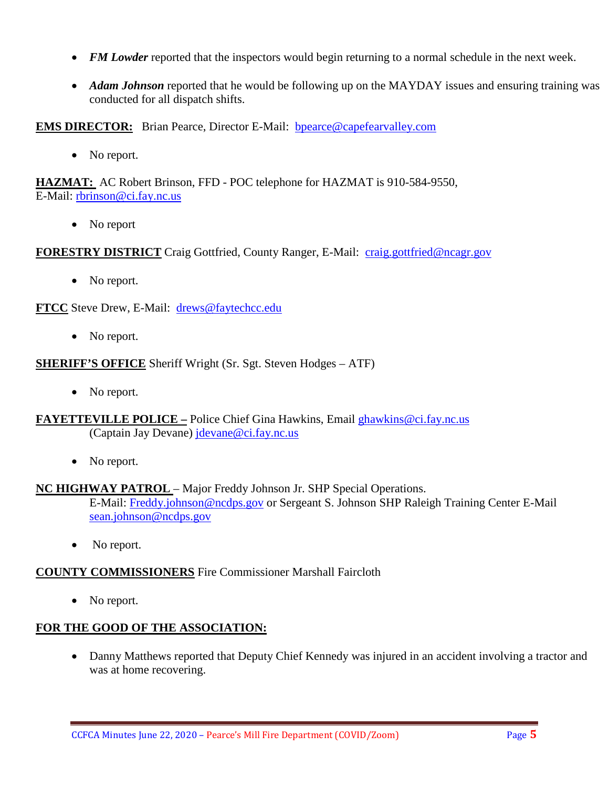- *FM Lowder* reported that the inspectors would begin returning to a normal schedule in the next week.
- *Adam Johnson* reported that he would be following up on the MAYDAY issues and ensuring training was conducted for all dispatch shifts.

**EMS DIRECTOR:** Brian Pearce, Director E-Mail: bpearce@capefearvalley.com

• No report.

**HAZMAT:** AC Robert Brinson, FFD - POC telephone for HAZMAT is 910-584-9550, E-Mail: [rbrinson@ci.fay.nc.us](mailto:rbrinson@ci.fay.nc.us)

• No report

**FORESTRY DISTRICT** Craig Gottfried, County Ranger, E-Mail: [craig.gottfried@ncagr.gov](mailto:craig.gottfried@ncagr.gov)

• No report.

**FTCC** Steve Drew, E-Mail: [drews@faytechcc.edu](mailto:drews@faytechcc.edu)

• No report.

**SHERIFF'S OFFICE** Sheriff Wright (Sr. Sgt. Steven Hodges – ATF)

• No report.

**FAYETTEVILLE POLICE –** Police Chief Gina Hawkins, Email [ghawkins@ci.fay.nc.us](mailto:ghawkins@ci.fay.nc.us)  (Captain Jay Devane) [jdevane@ci.fay.nc.us](mailto:jdevane@ci.fay.nc.us)

• No report.

#### **NC HIGHWAY PATROL** – Major Freddy Johnson Jr. SHP Special Operations.

E-Mail: [Freddy.johnson@ncdps.gov](mailto:Freddy.johnson@ncdps.gov) or Sergeant S. Johnson SHP Raleigh Training Center E-Mail [sean.johnson@ncdps.gov](mailto:sean.johnson@ncdps.gov)

• No report.

#### **COUNTY COMMISSIONERS** Fire Commissioner Marshall Faircloth

• No report.

# **FOR THE GOOD OF THE ASSOCIATION:**

• Danny Matthews reported that Deputy Chief Kennedy was injured in an accident involving a tractor and was at home recovering.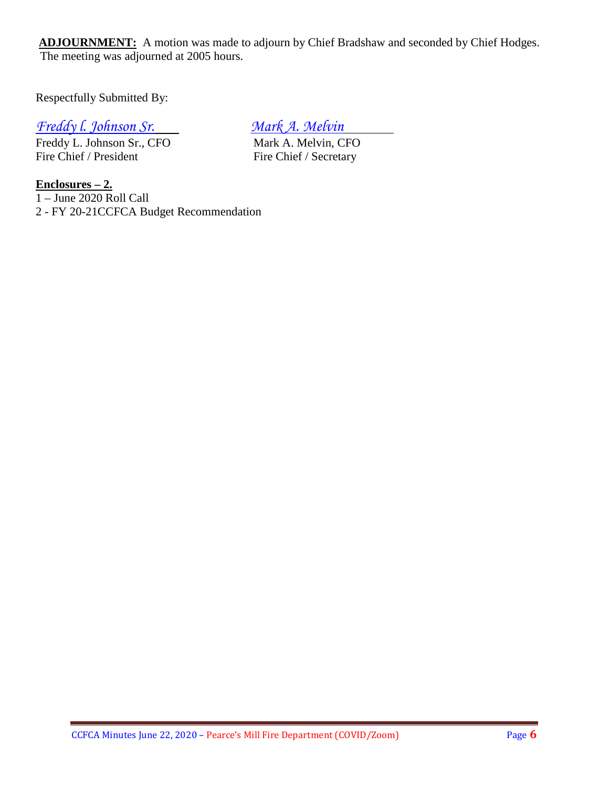ADJOURNMENT: A motion was made to adjourn by Chief Bradshaw and seconded by Chief Hodges. The meeting was adjourned at 2005 hours.

Respectfully Submitted By:

# *Freddy I. Johnson Sr.*<br> *Freddy L. Johnson Sr., CFO Mark A. Melvin, CFO*

Freddy L. Johnson Sr., CFO<br>Fire Chief / President

Fire Chief / Secretary

**Enclosures – 2.**  $1 -$ June 2020 Roll Call 2 - FY 20-21CCFCA Budget Recommendation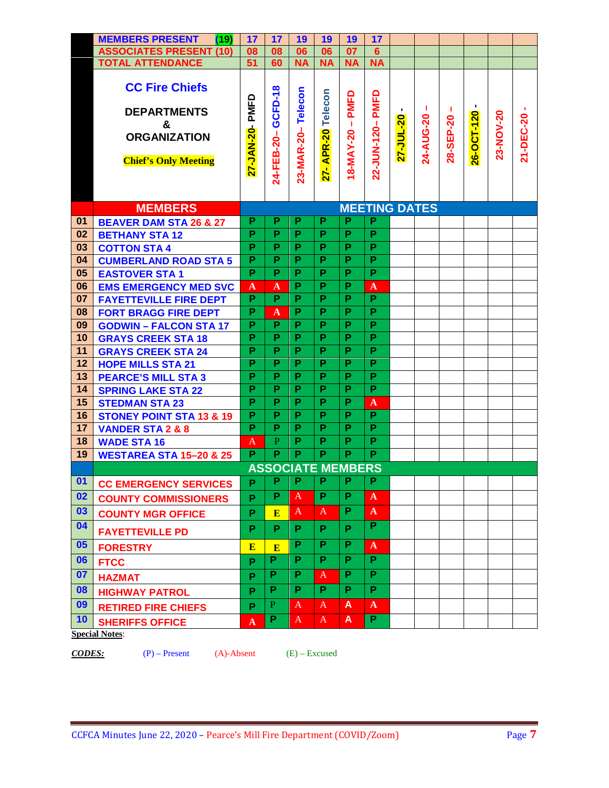|                | <b>MEMBERS PRESENT</b><br>(19)                                                                         | 17                  | 17                      | 19                       | 19                 | 19                  | 17                   |           |                 |                 |                 |           |           |
|----------------|--------------------------------------------------------------------------------------------------------|---------------------|-------------------------|--------------------------|--------------------|---------------------|----------------------|-----------|-----------------|-----------------|-----------------|-----------|-----------|
|                | <b>ASSOCIATES PRESENT (10)</b>                                                                         | 08                  | 08                      | 06                       | 06                 | 07                  | $6\phantom{1}$       |           |                 |                 |                 |           |           |
|                | <b>TOTAL ATTENDANCE</b>                                                                                | 51                  | 60                      | <b>NA</b>                | <b>NA</b>          | <b>NA</b>           | <b>NA</b>            |           |                 |                 |                 |           |           |
|                | <b>CC Fire Chiefs</b><br><b>DEPARTMENTS</b><br>&<br><b>ORGANIZATION</b><br><b>Chief's Only Meeting</b> | PMFD<br>27-JAN-20-  | 24-FEB-20-GCFD-18       | 23-MAR-20-Telecon        | 27- APR-20 Telecon | 18-MAY-20 - PMFD    | 22-JUN-120-PMFD      | 27-JUL-20 | л.<br>24-AUG-20 | л.<br>28-SEP-20 | ٠<br>26-OCT-120 | 23-NOV-20 | 21-DEC-20 |
|                |                                                                                                        |                     |                         |                          |                    |                     |                      |           |                 |                 |                 |           |           |
|                |                                                                                                        |                     |                         |                          |                    |                     |                      |           |                 |                 |                 |           |           |
|                |                                                                                                        |                     |                         |                          |                    |                     |                      |           |                 |                 |                 |           |           |
|                | <b>MEMBERS</b>                                                                                         |                     |                         |                          |                    |                     | <b>MEETING DATES</b> |           |                 |                 |                 |           |           |
| 01             | <b>BEAVER DAM STA 26 &amp; 27</b>                                                                      | P<br>$\overline{P}$ | P<br>$\overline{P}$     | P<br>$\overline{P}$      | P<br>P             | P<br>$\overline{P}$ | P<br>P               |           |                 |                 |                 |           |           |
| 02<br>03       | <b>BETHANY STA 12</b>                                                                                  | $\overline{P}$      | $\overline{P}$          | $\overline{P}$           | P                  | $\overline{P}$      | $\overline{P}$       |           |                 |                 |                 |           |           |
| 04             | <b>COTTON STA 4</b><br><b>CUMBERLAND ROAD STA 5</b>                                                    |                     | P                       | P                        | P                  | P                   | P                    |           |                 |                 |                 |           |           |
| 05             | <b>EASTOVER STA1</b>                                                                                   | P<br>P              | P                       | $\overline{P}$           | P                  | $\overline{P}$      | $\overline{P}$       |           |                 |                 |                 |           |           |
| 06             | <b>EMS EMERGENCY MED SVC</b>                                                                           | $\mathbf{A}$        | $\mathbf{A}$            | P                        | P                  | P                   | $\mathbf{A}$         |           |                 |                 |                 |           |           |
| 07             | <b>FAYETTEVILLE FIRE DEPT</b>                                                                          | $\overline{P}$      | $\overline{P}$          | P                        | P                  | P                   | $\overline{P}$       |           |                 |                 |                 |           |           |
| 08             | <b>FORT BRAGG FIRE DEPT</b>                                                                            | $\overline{P}$      | $\mathbf{A}$            | $\overline{P}$           | $\overline{P}$     | $\overline{P}$      | $\overline{P}$       |           |                 |                 |                 |           |           |
| 09             | <b>GODWIN - FALCON STA 17</b>                                                                          | P                   | $\overline{P}$          | $\overline{P}$           | $\overline{P}$     | $\overline{P}$      | $\overline{P}$       |           |                 |                 |                 |           |           |
| 10             | <b>GRAYS CREEK STA 18</b>                                                                              | P                   | P                       | P                        | P                  | P                   | P                    |           |                 |                 |                 |           |           |
| 11             | <b>GRAYS CREEK STA 24</b>                                                                              | P                   | $\overline{P}$          | P                        | P                  | $\overline{P}$      | $\overline{P}$       |           |                 |                 |                 |           |           |
| 12             | <b>HOPE MILLS STA 21</b>                                                                               | P                   | $\overline{P}$          | P                        | P                  | P                   | P                    |           |                 |                 |                 |           |           |
| 13             | <b>PEARCE'S MILL STA 3</b>                                                                             | P                   | P                       | P                        | P                  | P                   | P                    |           |                 |                 |                 |           |           |
| 14             | <b>SPRING LAKE STA 22</b>                                                                              | $\overline{P}$      | $\overline{\mathsf{P}}$ | $\overline{P}$           | $\overline{P}$     | $\overline{P}$      | $\overline{P}$       |           |                 |                 |                 |           |           |
| 15             | <b>STEDMAN STA 23</b>                                                                                  |                     | $\overline{P}$          | $\overline{P}$           | P                  | $\overline{P}$      | $\mathbf{A}$         |           |                 |                 |                 |           |           |
| 16             | <b>STONEY POINT STA 13 &amp; 19</b>                                                                    | P                   | P                       | P                        | P                  | P                   | $\overline{P}$       |           |                 |                 |                 |           |           |
| 17             | <b>VANDER STA 2 &amp; 8</b>                                                                            | P                   | $\overline{P}$          | $\overline{P}$           | P                  | P                   | $\overline{P}$       |           |                 |                 |                 |           |           |
| 18             | <b>WADE STA 16</b>                                                                                     | $\mathbf{A}$        | $\overline{P}$          | P                        | P                  | P                   | $\overline{P}$       |           |                 |                 |                 |           |           |
| 19             | <b>WESTAREA STA 15-20 &amp; 25</b>                                                                     | $\overline{P}$      | $\overline{P}$          | $\overline{P}$           | $\overline{P}$     | P                   | $\overline{P}$       |           |                 |                 |                 |           |           |
|                |                                                                                                        |                     |                         | <b>ASSOCIATE MEMBERS</b> |                    |                     |                      |           |                 |                 |                 |           |           |
| $\mathbf{0}$ 1 | <b>CC EMERGENCY SERVICES</b>                                                                           | P                   | Р                       | Р                        | Р                  | Р                   | Р                    |           |                 |                 |                 |           |           |
| 02             | <b>COUNTY COMMISSIONERS</b>                                                                            | P                   | P                       | $\mathbf{A}$             | P                  | P                   | $\mathbf{A}$         |           |                 |                 |                 |           |           |
| 03             | <b>COUNTY MGR OFFICE</b>                                                                               | P                   | E                       | A                        | A                  | P                   | $\mathbf{A}$         |           |                 |                 |                 |           |           |
| 04             | <b>FAYETTEVILLE PD</b>                                                                                 | P                   | P                       | P                        | P                  | P                   | P                    |           |                 |                 |                 |           |           |
| 05             | <b>FORESTRY</b>                                                                                        | E                   | E                       | P                        | P                  | P                   | $\mathbf{A}$         |           |                 |                 |                 |           |           |
| 06             | <b>FTCC</b>                                                                                            | P                   | P                       | P                        | P                  | P                   | P                    |           |                 |                 |                 |           |           |
| 07             | <b>HAZMAT</b>                                                                                          | P                   | P                       | P                        | A                  | P                   | P                    |           |                 |                 |                 |           |           |
| 08             | <b>HIGHWAY PATROL</b>                                                                                  | P                   | P                       | P                        | P                  | P                   | P                    |           |                 |                 |                 |           |           |
| 09             | <b>RETIRED FIRE CHIEFS</b>                                                                             | P                   | $\mathbf{P}$            | A                        | A                  | A                   | $\mathbf{A}$         |           |                 |                 |                 |           |           |
| 10             | <b>SHERIFFS OFFICE</b>                                                                                 | $\mathbf{A}$        | P                       | A                        | A                  | A                   | P.                   |           |                 |                 |                 |           |           |
|                | <b>Special Notes:</b>                                                                                  |                     |                         |                          |                    |                     |                      |           |                 |                 |                 |           |           |

*CODES:* (P) – Present (A)-Absent (E) – Excused